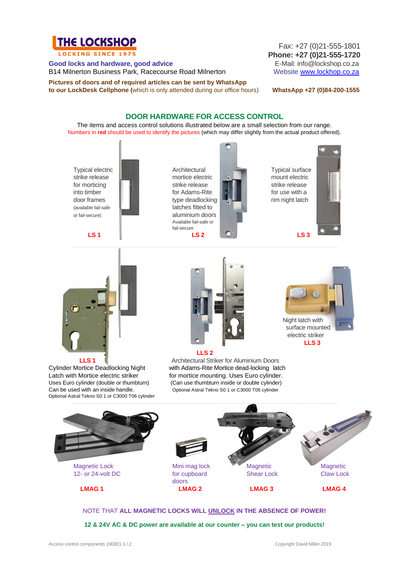

LOCKING SINCE 1975

**Good locks and hardware, good advice**<br>
B14 Milnerton Business Park, Racecourse Road Milnerton<br>
Website www.lockhop.co.za B14 Milnerton Business Park, Racecourse Road Milnerton

**Pictures of doors and of required articles can be sent by WhatsApp to our LockDesk Cellphone (**which is only attended during our office hours) **WhatsApp +27 (0)84-200-1555**

Fax: +27 (0)21-555-1801 **Phone: +27 (0)21-555-1720**

## **DOOR HARDWARE FOR ACCESS CONTROL**

The items and access control solutions illustrated below are a small selection from our range. Numbers in **red** should be used to identify the pictures (which may differ slightly from the actual product offered).

strike release **the strike release** mount electric mount electric mount electric for morticing strike release strike release strike release into timber **for Adams-Rite for Adams-Rite for use with a** door frames type deadlocking **the set of the set of the set of the set of the set of the set of the set of the set of the set of the set of the set of the set of the set of the set of the set of the set of the set of the s** (available fail-safe **latches fitted to** or fail-secure) **aluminium doors** 

Available fail-safe or fail-secure



Typical electric **Architectural Typical surface** Typical surface





Cylinder Mortice Deadlocking Night with Adams-Rite Mortice dead-locking latch Latch with Mortice electric striker for mortice mounting. Uses Euro cylinder. Optional Astral Tekno S0 1 or C3000 T06 cylinder



**LLS 1 1 1Architectural Striker for Aluminium Doors** 



 electric striker  **LLS 3**

Uses Euro cylinder (double or thumbturn) (Can use thumbturn inside or double cylinder) Can be used with an inside handle. Optional Astral Tekno S0 1 or C3000 T06 cylinder



NOTE THAT **ALL MAGNETIC LOCKS WILL UNLOCK IN THE ABSENCE OF POWER!**

**12 & 24V AC & DC power are available at our counter – you can test our products!**